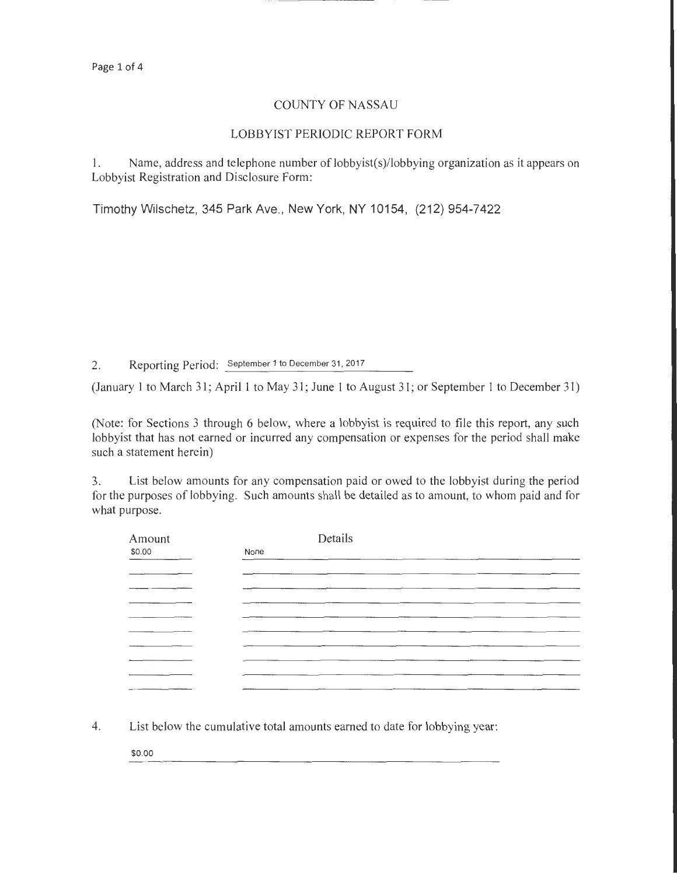## COUNTY OF NASSAU

## LOBBYIST PERIODIC REPORT FORM

1. Name, address and telephone number of lobbyist(s)/lobbying organization as it appears on Lobbyist Registration and Disclosure Form:

Timothy Wilschetz, 345 Park Ave., New York, NY 10154, (212) 954-7422

2. Reporting Period: September 1 to December 31, 2017

(January 1 to March 31; April 1 to May 31; June 1 to August 31; or September 1 to December 31)

(Note: for Sections 3 through 6 below, where a lobbyist is required to file this report, any such lobbyist that has not earned or incurred any compensation or expenses for the period shall make such a statement herein)

3. List below amounts for any compensation paid or owed to the lobbyist during the period for the purposes of lobbying. Such amounts shall be detailed as to amount, to whom paid and for what purpose.

| Amount | Details |
|--------|---------|
| \$0.00 | None    |
|        |         |
|        |         |
|        |         |
|        |         |
|        |         |
|        |         |
|        |         |
|        |         |
|        |         |
|        |         |

4. List below the cumulative total amounts earned to date for lobbying year:

\$0.00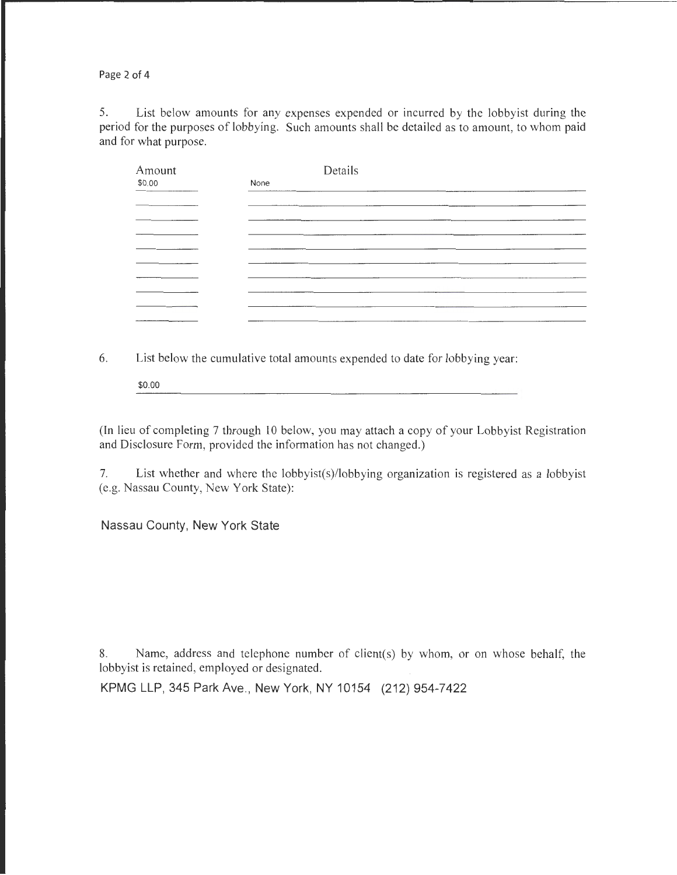Page 2 of 4

5. List below amounts for any expenses expended or incurred by the lobbyist during the period for the purposes of lobbying. Such amounts shall be detailed as to amount, to whom paid and for what purpose.

| Amount | Details |                                                                                                                       |
|--------|---------|-----------------------------------------------------------------------------------------------------------------------|
| \$0.00 | None    |                                                                                                                       |
|        |         |                                                                                                                       |
|        |         |                                                                                                                       |
|        |         |                                                                                                                       |
|        |         | <u> 1980 - Jan Alexander de Carlos III (1980), control de la control de la control de la control de la control de</u> |
|        |         |                                                                                                                       |
|        |         |                                                                                                                       |
|        |         |                                                                                                                       |
|        |         |                                                                                                                       |
|        |         |                                                                                                                       |
|        |         |                                                                                                                       |

6. List below the cumulative total amounts expended to date for lobbying year:

\$0.00

(In lieu of completing 7 through 10 below, you may attach a copy of your Lobbyist Registration and Disclosure Form, provided the information has not changed.)

7. List whether and where the lobbyist(s)/lobbying organization is registered as a lobbyist (e.g. Nassau County, New York State):

Nassau County, New York State

8. Name, address and telephone number of client(s) by whom, or on whose behalf, the lobbyist is retained, employed or designated.

KPMG LLP, 345 Park Ave., New York, NY 10154 (212) 954-7422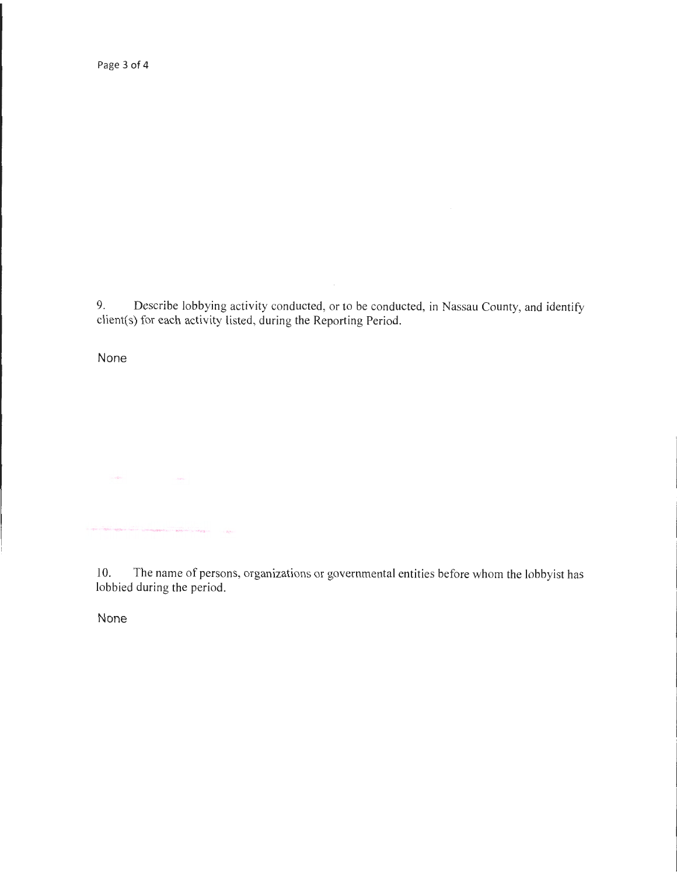9. Describe lobbying activity conducted, or to be conducted, in Nassau County, and identify client(s) for each activity listed, during the Reporting Period.

None

a specialization against the construction of a process a sensor in  $\sim \Delta \xi^2$ 

 $\label{eq:12} \langle \partial_t \hat{R}^{\rm in} \rangle = \langle \partial_t \hat{R}^{\rm in} \rangle$ 

10. The name of persons, organizations or governmental entities before whom the lobbyist has lobbied during the period.

None